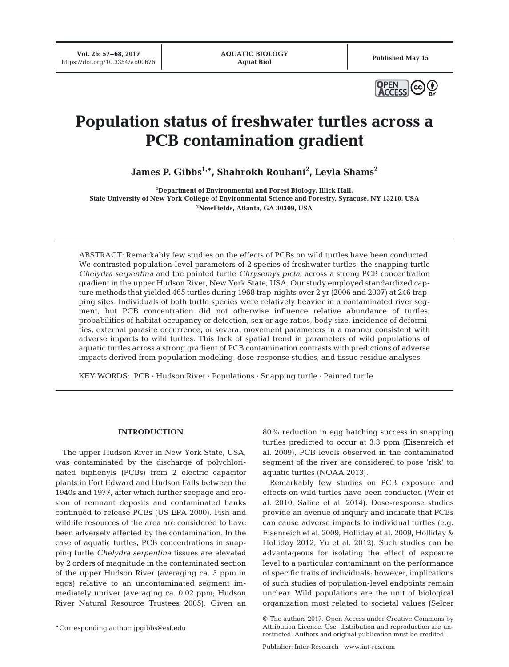**Vol. 26: 57–68, 2017** VOI. 20: 37–06, 2017<br>https://doi.org/10.3354/ab00676 **Published May 15**<br>**Published May 15** 



# **Population status of freshwater turtles across a PCB contamination gradient**

**James P. Gibbs1,\*, Shahrokh Rouhani2 , Leyla Shams2**

**1 Department of Environmental and Forest Biology, Illick Hall, State University of New York College of Environmental Science and Forestry, Syracuse, NY 13210, USA 2 NewFields, Atlanta, GA 30309, USA**

ABSTRACT: Remarkably few studies on the effects of PCBs on wild turtles have been conducted. We contrasted population-level parameters of 2 species of freshwater turtles, the snapping turtle *Chelydra serpentina* and the painted turtle *Chrysemys picta*, across a strong PCB concentration gradient in the upper Hudson River, New York State, USA. Our study employed standardized capture methods that yielded 465 turtles during 1968 trap-nights over 2 yr (2006 and 2007) at 246 trapping sites. Individuals of both turtle species were relatively heavier in a contaminated river segment, but PCB concentration did not otherwise influence relative abundance of turtles, probabilities of habitat occupancy or detection, sex or age ratios, body size, incidence of deformities, external parasite occurrence, or several movement parameters in a manner consistent with adverse impacts to wild turtles. This lack of spatial trend in parameters of wild populations of aquatic turtles across a strong gradient of PCB contamination contrasts with predictions of adverse impacts derived from population modeling, dose-response studies, and tissue residue analyses.

KEY WORDS: PCB · Hudson River · Populations · Snapping turtle · Painted turtle

## **INTRODUCTION**

The upper Hudson River in New York State, USA, was contaminated by the discharge of polychlorinated biphenyls (PCBs) from 2 electric capacitor plants in Fort Edward and Hudson Falls between the 1940s and 1977, after which further seepage and erosion of remnant deposits and contaminated banks continued to release PCBs (US EPA 2000). Fish and wildlife resources of the area are considered to have been adversely affected by the contamination. In the case of aquatic turtles, PCB concentrations in snapping turtle *Chelydra serpentina* tissues are elevated by 2 orders of magnitude in the contaminated section of the upper Hudson River (averaging ca. 3 ppm in eggs) relative to an uncontaminated segment immediately upriver (averaging ca. 0.02 ppm; Hudson River Natural Resource Trustees 2005). Given an

\*Corresponding author: jpgibbs@esf.edu

80% reduction in egg hatching success in snapping turtles predicted to occur at 3.3 ppm (Eisenreich et al. 2009), PCB levels observed in the contaminated segment of the river are considered to pose 'risk' to aquatic turtles (NOAA 2013).

Remarkably few studies on PCB exposure and effects on wild turtles have been conducted (Weir et al. 2010, Salice et al. 2014). Dose-response studies provide an avenue of inquiry and indicate that PCBs can cause adverse impacts to individual turtles (e.g. Eisenreich et al. 2009, Holliday et al. 2009, Holliday & Holliday 2012, Yu et al. 2012). Such studies can be advantageous for isolating the effect of exposure level to a particular contaminant on the performance of specific traits of individuals; however, implications of such studies of population-level endpoints remain unclear. Wild populations are the unit of biological organization most related to societal values (Selcer

<sup>©</sup> The authors 2017. Open Access under Creative Commons by Attribution Licence. Use, distribution and reproduction are unrestricted. Authors and original publication must be credited.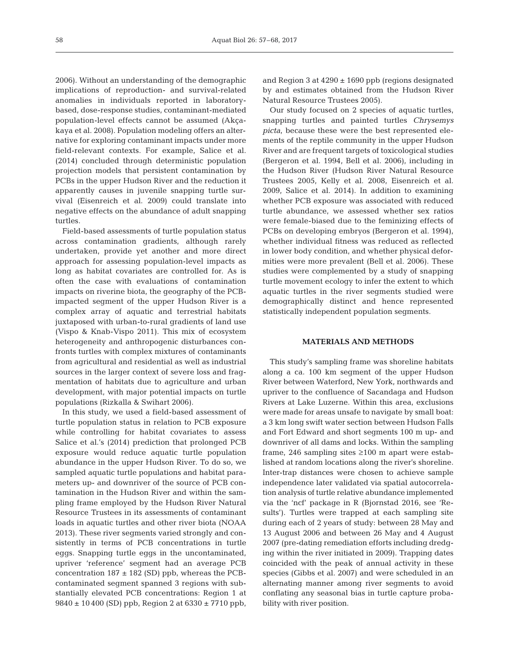2006). Without an understanding of the demographic implications of reproduction- and survival-related anomalies in individuals reported in laboratorybased, dose-response studies, contaminant-mediated population-level effects cannot be assumed (Akçakaya et al. 2008). Population modeling offers an alternative for exploring contaminant impacts under more field-relevant contexts. For example, Salice et al. (2014) concluded through deterministic population projection models that persistent contamination by PCBs in the upper Hudson River and the reduction it apparently causes in juvenile snapping turtle survival (Eisenreich et al. 2009) could translate into negative effects on the abundance of adult snapping turtles.

Field-based assessments of turtle population status across contamination gradients, although rarely undertaken, provide yet another and more direct approach for assessing population-level impacts as long as habitat covariates are controlled for. As is often the case with evaluations of contamination impacts on riverine biota, the geography of the PCBimpacted segment of the upper Hudson River is a complex array of aquatic and terrestrial habitats juxtaposed with urban-to-rural gradients of land use (Vispo & Knab-Vispo 2011). This mix of ecosystem heterogeneity and anthropogenic disturbances confronts turtles with complex mixtures of contaminants from agricultural and residential as well as industrial sources in the larger context of severe loss and fragmentation of habitats due to agriculture and urban development, with major potential impacts on turtle populations (Rizkalla & Swihart 2006).

In this study, we used a field-based assessment of turtle population status in relation to PCB exposure while controlling for habitat covariates to assess Salice et al.'s (2014) prediction that prolonged PCB exposure would reduce aquatic turtle population abundance in the upper Hudson River. To do so, we sampled aquatic turtle populations and habitat para meters up- and downriver of the source of PCB contamination in the Hudson River and within the sampling frame employed by the Hudson River Natural Resource Trustees in its assessments of contaminant loads in aquatic turtles and other river biota (NOAA 2013). These river segments varied strongly and consistently in terms of PCB concentrations in turtle eggs. Snapping turtle eggs in the uncontaminated, upriver 'reference' segment had an average PCB concentration  $187 \pm 182$  (SD) ppb, whereas the PCBcontaminated segment spanned 3 regions with substantially elevated PCB concentrations: Region 1 at  $9840 \pm 10400$  (SD) ppb, Region 2 at  $6330 \pm 7710$  ppb,

and Region 3 at  $4290 \pm 1690$  ppb (regions designated by and estimates obtained from the Hudson River Natural Resource Trustees 2005).

Our study focused on 2 species of aquatic turtles, snapping turtles and painted turtles *Chrysemys picta*, because these were the best represented elements of the reptile community in the upper Hudson River and are frequent targets of toxicological studies (Bergeron et al. 1994, Bell et al. 2006), including in the Hudson River (Hudson River Natural Resource Trustees 2005, Kelly et al. 2008, Eisenreich et al. 2009, Salice et al. 2014). In addition to examining whether PCB exposure was associated with reduced turtle abundance, we assessed whether sex ratios were female-biased due to the feminizing effects of PCBs on developing embryos (Bergeron et al. 1994), whether individual fitness was reduced as reflected in lower body condition, and whether physical deformities were more prevalent (Bell et al. 2006). These studies were complemented by a study of snapping turtle movement ecology to infer the extent to which aquatic turtles in the river segments studied were demographically distinct and hence represented statistically independent population segments.

#### **MATERIALS AND METHODS**

This study's sampling frame was shoreline habitats along a ca. 100 km segment of the upper Hudson River between Waterford, New York, northwards and upriver to the confluence of Sacandaga and Hudson Rivers at Lake Luzerne. Within this area, exclusions were made for areas unsafe to navigate by small boat: a 3 km long swift water section between Hudson Falls and Fort Edward and short segments 100 m up- and downriver of all dams and locks. Within the sampling frame, 246 sampling sites ≥100 m apart were established at random locations along the river's shoreline. Inter-trap distances were chosen to achieve sample independence later validated via spatial autocorrelation analysis of turtle relative abundance implemented via the 'ncf' package in R (Bjornstad 2016, see 'Results'). Turtles were trapped at each sampling site during each of 2 years of study: between 28 May and 13 August 2006 and between 26 May and 4 August 2007 (pre-dating remediation efforts including dredging within the river initiated in 2009). Trapping dates coincided with the peak of annual activity in these species (Gibbs et al. 2007) and were scheduled in an alternating manner among river segments to avoid conflating any seasonal bias in turtle capture probability with river position.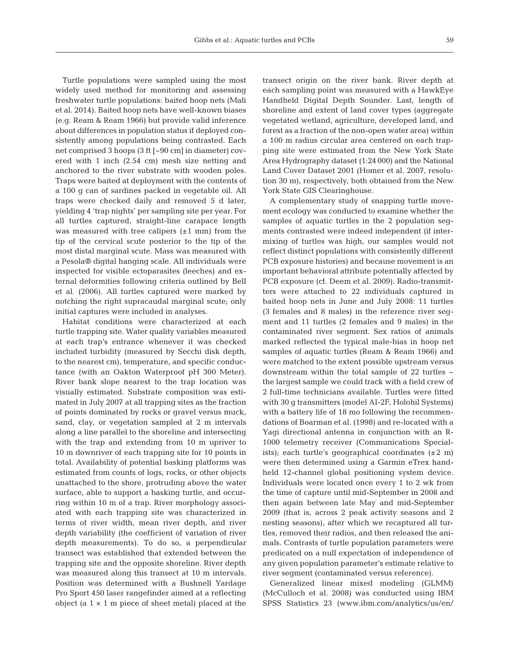Turtle populations were sampled using the most widely used method for monitoring and assessing freshwater turtle populations: baited hoop nets (Mali et al. 2014). Baited hoop nets have well-known biases (e.g. Ream & Ream 1966) but provide valid inference about differences in population status if deployed consistently among populations being contrasted. Each net comprised 3 hoops (3 ft [~90 cm] in diameter) covered with 1 inch (2.54 cm) mesh size netting and anchored to the river substrate with wooden poles. Traps were baited at deployment with the contents of a 100 g can of sardines packed in vegetable oil. All traps were checked daily and removed 5 d later, yielding 4 'trap nights' per sampling site per year. For all turtles captured, straight-line carapace length was measured with tree calipers  $(\pm 1 \text{ mm})$  from the tip of the cervical scute posterior to the tip of the most distal marginal scute. Mass was measured with a Pesola® digital hanging scale. All individuals were inspected for visible ectoparasites (leeches) and external deformities following criteria outlined by Bell et al. (2006). All turtles captured were marked by notching the right supracaudal marginal scute; only initial captures were included in analyses.

Habitat conditions were characterized at each turtle trapping site. Water quality variables measured at each trap's entrance whenever it was checked included turbidity (measured by Secchi disk depth, to the nearest cm), temperature, and specific conductance (with an Oakton Waterproof pH 300 Meter). River bank slope nearest to the trap location was visually estimated. Substrate composition was estimated in July 2007 at all trapping sites as the fraction of points dominated by rocks or gravel versus muck, sand, clay, or vegetation sampled at 2 m intervals along a line parallel to the shoreline and intersecting with the trap and extending from 10 m upriver to 10 m downriver of each trapping site for 10 points in total. Availability of potential basking platforms was estimated from counts of logs, rocks, or other objects unattached to the shore, protruding above the water surface, able to support a basking turtle, and occurring within 10 m of a trap. River morphology associated with each trapping site was characterized in terms of river width, mean river depth, and river depth variability (the coefficient of variation of river depth measurements). To do so, a perpendicular transect was established that extended between the trapping site and the opposite shoreline. River depth was measured along this transect at 10 m intervals. Position was determined with a Bushnell Yardage Pro Sport 450 laser rangefinder aimed at a reflecting object (a  $1 \times 1$  m piece of sheet metal) placed at the

transect origin on the river bank. River depth at each sampling point was measured with a HawkEye Handheld Digital Depth Sounder. Last, length of shoreline and extent of land cover types (aggregate vegetated wetland, agriculture, developed land, and forest as a fraction of the non-open water area) within a 100 m radius circular area centered on each trapping site were estimated from the New York State Area Hydrography dataset (1:24 000) and the National Land Cover Dataset 2001 (Homer et al. 2007, resolution 30 m), respectively, both obtained from the New York State GIS Clearinghouse.

A complementary study of snapping turtle movement ecology was conducted to examine whether the samples of aquatic turtles in the 2 population segments contrasted were indeed independent (if intermixing of turtles was high, our samples would not reflect distinct populations with consistently different PCB exposure histories) and because movement is an important behavioral attribute potentially affected by PCB exposure (cf. Deem et al. 2009). Radio-transmitters were attached to 22 individuals captured in baited hoop nets in June and July 2008: 11 turtles (3 females and 8 males) in the reference river segment and 11 turtles (2 females and 9 males) in the contaminated river segment. Sex ratios of animals marked reflected the typical male-bias in hoop net samples of aquatic turtles (Ream & Ream 1966) and were matched to the extent possible upstream versus downstream within the total sample of 22 turtles − the largest sample we could track with a field crew of 2 full-time technicians available. Turtles were fitted with 30 g transmitters (model AI-2F, Holohil Systems) with a battery life of 18 mo following the recommendations of Boarman et al. (1998) and re-located with a Yagi directional antenna in conjunction with an R-1000 telemetry receiver (Communications Specialists); each turtle's geographical coordinates  $(\pm 2 \text{ m})$ were then determined using a Garmin eTrex handheld 12-channel global positioning system device. Individuals were located once every 1 to 2 wk from the time of capture until mid-September in 2008 and then again between late May and mid-September 2009 (that is, across 2 peak activity seasons and 2 nesting seasons), after which we recaptured all turtles, removed their radios, and then released the animals. Contrasts of turtle population parameters were predicated on a null expectation of independence of any given population parameter's estimate relative to river segment (contaminated versus reference).

Generalized linear mixed modeling (GLMM) (McCulloch et al. 2008) was conducted using IBM SPSS Statistics 23 (www.ibm.com/analytics/us/en/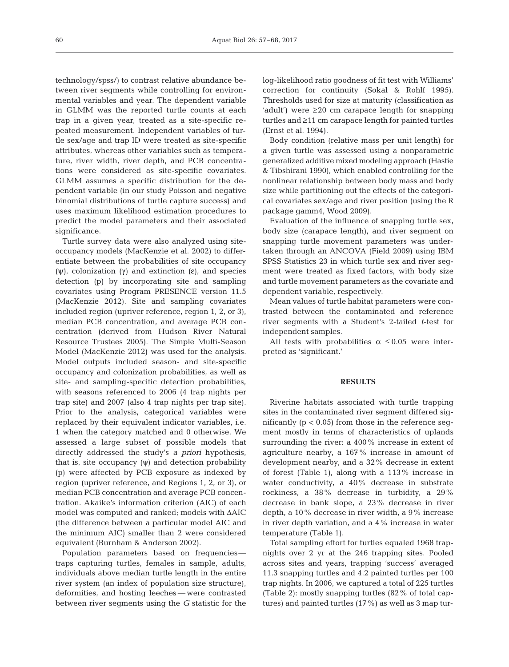technology/spss/) to contrast relative abundance between river segments while controlling for environmental variables and year. The dependent variable in GLMM was the reported turtle counts at each trap in a given year, treated as a site-specific re peated measurement. Independent variables of turtle sex/age and trap ID were treated as site-specific attributes, whereas other variables such as temperature, river width, river depth, and PCB concentrations were considered as site-specific covariates. GLMM assumes a specific distribution for the dependent variable (in our study Poisson and negative binomial distributions of turtle capture success) and uses maximum likelihood estimation procedures to predict the model parameters and their associated significance.

Turtle survey data were also analyzed using siteoccupancy models (MacKenzie et al. 2002) to differentiate between the probabilities of site occupancy (ψ), colonization (γ) and extinction (ε), and species detection (p) by incorporating site and sampling covariates using Program PRESENCE version 11.5 (MacKenzie 2012). Site and sampling covariates included region (upriver reference, region 1, 2, or 3), median PCB concentration, and average PCB concentration (derived from Hudson River Natural Resource Trustees 2005). The Simple Multi-Season Model (MacKenzie 2012) was used for the analysis. Model outputs included season- and site-specific occupancy and colonization probabilities, as well as site- and sampling-specific detection probabilities, with seasons referenced to 2006 (4 trap nights per trap site) and 2007 (also 4 trap nights per trap site). Prior to the analysis, categorical variables were replaced by their equivalent indicator variables, i.e. 1 when the category matched and 0 otherwise. We assessed a large subset of possible models that directly addressed the study's *a priori* hypothesis, that is, site occupancy  $(ψ)$  and detection probability (p) were affected by PCB exposure as indexed by region (upriver reference, and Regions 1, 2, or 3), or median PCB concentration and average PCB concentration. Akaike's information criterion (AIC) of each model was computed and ranked; models with ΔAIC (the difference between a particular model AIC and the minimum AIC) smaller than 2 were considered equivalent (Burnham & Anderson 2002).

Population parameters based on frequencies traps capturing turtles, females in sample, adults, individuals above median turtle length in the entire river system (an index of population size structure), deformities, and hosting leeches — were contrasted between river segments using the *G* statistic for the log-likelihood ratio goodness of fit test with Williams' correction for continuity (Sokal & Rohlf 1995). Thresholds used for size at maturity (classification as 'adult') were ≥20 cm carapace length for snapping turtles and ≥11 cm carapace length for painted turtles (Ernst et al. 1994).

Body condition (relative mass per unit length) for a given turtle was assessed using a nonparametric generalized additive mixed modeling approach (Hastie & Tibshirani 1990), which enabled controlling for the nonlinear relationship between body mass and body size while partitioning out the effects of the categorical covariates sex/age and river position (using the R package gamm4, Wood 2009).

Evaluation of the influence of snapping turtle sex, body size (carapace length), and river segment on snapping turtle movement parameters was undertaken through an ANCOVA (Field 2009) using IBM SPSS Statistics 23 in which turtle sex and river segment were treated as fixed factors, with body size and turtle movement parameters as the covariate and dependent variable, respectively.

Mean values of turtle habitat parameters were contrasted between the contaminated and reference river segments with a Student's 2-tailed *t*-test for independent samples.

All tests with probabilities  $\alpha \leq 0.05$  were interpreted as 'significant.'

### **RESULTS**

Riverine habitats associated with turtle trapping sites in the contaminated river segment differed significantly  $(p < 0.05)$  from those in the reference seqment mostly in terms of characteristics of uplands surrounding the river: a 400% increase in extent of agriculture nearby, a 167% increase in amount of development nearby, and a 32% decrease in extent of forest (Table 1), along with a 113% increase in water conductivity, a 40% decrease in substrate rockiness, a 38% decrease in turbidity, a 29% decrease in bank slope, a 23% decrease in river depth, a 10% decrease in river width, a 9% increase in river depth variation, and a 4% increase in water temperature (Table 1).

Total sampling effort for turtles equaled 1968 trapnights over 2 yr at the 246 trapping sites. Pooled across sites and years, trapping 'success' averaged 11.3 snapping turtles and 4.2 painted turtles per 100 trap nights. In 2006, we captured a total of 225 turtles (Table 2): mostly snapping turtles (82% of total captures) and painted turtles (17%) as well as 3 map tur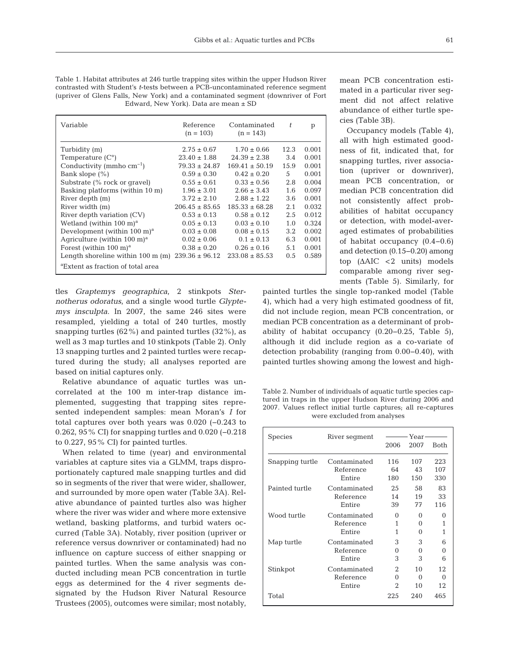Table 1. Habitat attributes at 246 turtle trapping sites within the upper Hudson River contrasted with Student's *t*-tests between a PCB-uncontaminated reference segment (upriver of Glens Falls, New York) and a contaminated segment (downriver of Fort Edward, New York). Data are mean ± SD

| Variable                                                       | Reference<br>$(n = 103)$ | Contaminated<br>$(n = 143)$ | t             | p     |
|----------------------------------------------------------------|--------------------------|-----------------------------|---------------|-------|
| Turbidity (m)                                                  | $2.75 \pm 0.67$          | $1.70 \pm 0.66$             | 12.3          | 0.001 |
| Temperature $(C^{\circ})$                                      | $23.40 \pm 1.88$         | $24.39 \pm 2.38$            | 3.4           | 0.001 |
| Conductivity (mmho $cm^{-1}$ )                                 | $79.33 \pm 24.87$        | $169.41 \pm 50.19$          | 15.9          | 0.001 |
| Bank slope $(\% )$                                             | $0.59 \pm 0.30$          | $0.42 \pm 0.20$             | .5            | 0.001 |
| Substrate (% rock or gravel)                                   | $0.55 \pm 0.61$          | $0.33 \pm 0.56$             | 2.8           | 0.004 |
| Basking platforms (within 10 m)                                | $1.96 \pm 3.01$          | $2.66 \pm 3.43$             | 1.6           | 0.097 |
| River depth (m)                                                | $3.72 \pm 2.10$          | $2.88 \pm 1.22$             | 3.6           | 0.001 |
| River width (m)                                                | $206.45 \pm 85.65$       | $185.33 \pm 68.28$          | 2.1           | 0.032 |
| River depth variation (CV)                                     | $0.53 \pm 0.13$          | $0.58 \pm 0.12$             | 2.5           | 0.012 |
| Wetland (within 100 m) <sup>a</sup>                            | $0.05 \pm 0.13$          | $0.03 \pm 0.10$             | 1.0           | 0.324 |
| Development (within $100 \text{ m}$ <sup>a</sup>               | $0.03 \pm 0.08$          | $0.08 \pm 0.15$             | $3.2^{\circ}$ | 0.002 |
| Agriculture (within $100 \text{ m}$ <sup>a</sup>               | $0.02 \pm 0.06$          | $0.1 \pm 0.13$              | 6.3           | 0.001 |
| Forest (within $100 \text{ m}$ ) <sup>a</sup>                  | $0.38 \pm 0.20$          | $0.26 \pm 0.16$             | 5.1           | 0.001 |
| Length shoreline within $100 \text{ m (m)}$ $239.36 \pm 96.12$ |                          | $233.08 \pm 85.53$          | $0.5^{\circ}$ | 0.589 |
| <sup>a</sup> Extent as fraction of total area                  |                          |                             |               |       |

tles *Graptemys geographica*, 2 stinkpots *Sternotherus odoratus*, and a single wood turtle *Glyptemys insculpta*. In 2007, the same 246 sites were resampled, yielding a total of 240 turtles, mostly snapping turtles (62%) and painted turtles (32%), as well as 3 map turtles and 10 stinkpots (Table 2). Only 13 snapping turtles and 2 painted turtles were recaptured during the study; all analyses reported are based on initial captures only.

Relative abundance of aquatic turtles was uncorrelated at the 100 m inter-trap distance im plemented, suggesting that trapping sites represented independent samples: mean Moran's *I* for total captures over both years was 0.020 (−0.243 to 0.262, 95% CI) for snapping turtles and 0.020 (−0.218 to 0.227, 95% CI) for painted turtles.

When related to time (year) and environmental variables at capture sites via a GLMM, traps disproportionately captured male snapping turtles and did so in segments of the river that were wider, shallower, and surrounded by more open water (Table 3A). Relative abundance of painted turtles also was higher where the river was wider and where more extensive wetland, basking platforms, and turbid waters occurred (Table 3A). Notably, river position (upriver or reference versus downriver or contaminated) had no influence on capture success of either snapping or painted turtles. When the same analysis was conducted including mean PCB concentration in turtle eggs as determined for the 4 river segments de signated by the Hudson River Natural Resource Trustees (2005), outcomes were similar; most notably,

mean PCB concentration estimated in a particular river segment did not affect relative abundance of either turtle species (Table 3B).

Occupancy models (Table 4), all with high estimated goodness of fit, indicated that, for snapping turtles, river association (upriver or downriver), mean PCB concentration, or median PCB concentration did not consistently affect probabilities of habitat occupancy or detection, with model-averaged estimates of probabilities of habitat occupancy (0.4−0.6) and detection (0.15−0.20) among top  $(AAIC < 2$  units) models comparable among river segments (Table 5). Similarly, for

painted turtles the single top-ranked model (Table 4), which had a very high estimated goodness of fit, did not include region, mean PCB concentration, or median PCB concentration as a determinant of probability of habitat occupancy (0.20− 0.25, Table 5), although it did include region as a co-variate of detection probability (ranging from 0.00–0.40), with painted turtles showing among the lowest and high-

Table 2. Number of individuals of aquatic turtle species captured in traps in the upper Hudson River during 2006 and 2007. Values reflect initial turtle captures; all re-captures were excluded from analyses

| <b>Species</b>  | River seqment |                | Year-    |          |
|-----------------|---------------|----------------|----------|----------|
|                 |               | 2006           | 2007     | Both     |
| Snapping turtle | Contaminated  | 116            | 107      | 223      |
|                 | Reference     | 64             | 43       | 107      |
|                 | Entire        | 180            | 150      | 330      |
| Painted turtle  | Contaminated  | 25             | 58       | 83       |
|                 | Reference     | 14             | 19       | 33       |
|                 | Entire        | 39             | 77       | 116      |
| Wood turtle     | Contaminated  | $\Omega$       | 0        | 0        |
|                 | Reference     | 1              | 0        | 1        |
|                 | Entire        | 1              | 0        | 1        |
| Map turtle      | Contaminated  | 3              | 3        | 6        |
|                 | Reference     | 0              | 0        | 0        |
|                 | Entire        | 3              | 3        | 6        |
| Stinkpot        | Contaminated  | $\mathfrak{D}$ | 10       | 12       |
|                 | Reference     | 0              | $\Omega$ | $\Omega$ |
|                 | Entire        | 2              | 10       | 12       |
| Total           |               | 22.5           | 240      | 465      |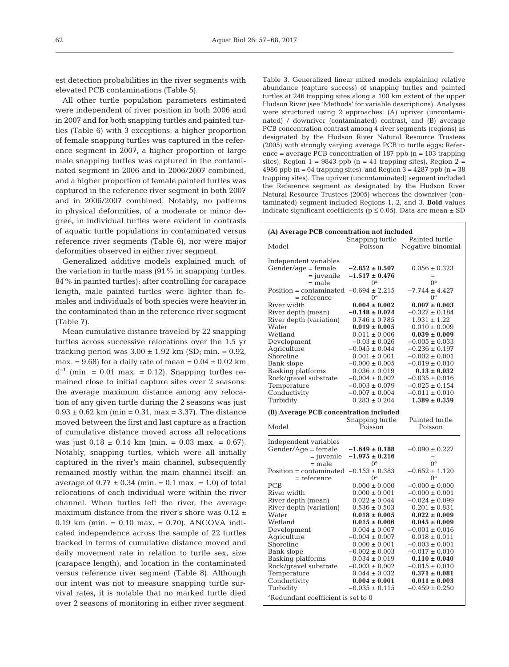est detection probabilities in the river segments with elevated PCB contaminations (Table 5).

All other turtle population parameters estimated were independent of river position in both 2006 and in 2007 and for both snapping turtles and painted turtles (Table 6) with 3 exceptions: a higher proportion of female snapping turtles was captured in the reference segment in 2007, a higher proportion of large male snapping turtles was captured in the contaminated segment in 2006 and in 2006/2007 combined, and a higher proportion of female painted turtles was captured in the reference river segment in both 2007 and in 2006/2007 combined. Notably, no patterns in physical deformities, of a moderate or minor de gree, in individual turtles were evident in contrasts of aquatic turtle populations in contaminated versus reference river segments (Table 6), nor were major deformities observed in either river segment.

Generalized additive models explained much of the variation in turtle mass (91% in snapping turtles, 84% in painted turtles); after controlling for carapace length, male painted turtles were lighter than females and individuals of both species were heavier in the contaminated than in the reference river segment (Table 7).

Mean cumulative distance traveled by 22 snapping turtles across successive relocations over the 1.5 yr tracking period was  $3.00 \pm 1.92$  km (SD; min. = 0.92, max. = 9.68) for a daily rate of mean =  $0.04 \pm 0.02$  km  $d^{-1}$  (min. = 0.01 max. = 0.12). Snapping turtles remained close to initial capture sites over 2 seasons: the average maximum distance among any relocation of any given turtle during the 2 seasons was just  $0.93 \pm 0.62$  km (min = 0.31, max = 3.37). The distance moved between the first and last capture as a fraction of cumulative distance moved across all relocations was just  $0.18 \pm 0.14$  km (min. = 0.03 max. = 0.67). Notably, snapping turtles, which were all initially captured in the river's main channel, subsequently remained mostly within the main channel itself: an average of  $0.77 \pm 0.34$  (min. = 0.1 max. = 1.0) of total relocations of each individual were within the river channel. When turtles left the river, the average maximum distance from the river's shore was  $0.12 \pm$  $0.19$  km (min. =  $0.10$  max. =  $0.70$ ). ANCOVA indicated independence across the sample of 22 turtles tracked in terms of cumulative distance moved and daily movement rate in relation to turtle sex, size (carapace length), and location in the contaminated versus reference river segment (Table 8). Although our intent was not to measure snapping turtle survival rates, it is notable that no marked turtle died over 2 seasons of monitoring in either river segment.

Table 3. Generalized linear mixed models explaining relative abundance (capture success) of snapping turtles and painted turtles at 246 trapping sites along a 100 km extent of the upper Hudson River (see 'Methods' for variable descriptions). Analyses were structured using 2 approaches: (A) upriver (uncontaminated) / downriver (contaminated) contrast, and (B) average PCB concentration contrast among 4 river segments (regions) as designated by the Hudson River Natural Resource Trustees (2005) with strongly varying average PCB in turtle eggs: Reference = average PCB concentration of 187 ppb (n = 103 trapping sites), Region  $1 = 9843$  ppb (n = 41 trapping sites), Region  $2 =$ 4986 ppb ( $n = 64$  trapping sites), and Region  $3 = 4287$  ppb ( $n = 38$ ) trapping sites). The upriver (uncontaminated) segment included the Reference segment as designated by the Hudson River Natural Resource Trustees (2005) whereas the downriver (contaminated) segment included Regions 1, 2, and 3. **Bold** values indicate significant coefficients ( $p \le 0.05$ ). Data are mean  $\pm$  SD

| Independent variables<br>$Gender/age = female$<br>$-2.852 \pm 0.507$<br>$0.056 \pm 0.323$<br>$=$ juvenile<br>$-1.517 \pm 0.476$<br>$0^{\rm a}$<br>$0^{\rm a}$<br>$=$ male<br>$-7.744 \pm 4.427$<br>Position = contaminated $-0.694 \pm 2.215$<br>$0^{\rm a}$<br>$0^{\rm a}$<br>$=$ reference<br>$0.004 \pm 0.002$<br>$0.007 \pm 0.003$<br>$-0.148 \pm 0.074$<br>$-0.327 \pm 0.184$<br>River depth (mean)<br>River depth (variation)<br>$0.746 \pm 0.785$<br>$1.931 \pm 1.22$<br>Water<br>$0.019 \pm 0.005$<br>$0.010 \pm 0.009$<br>Wetland<br>$0.011 \pm 0.006$<br>$0.039 \pm 0.009$<br>Development<br>$-0.03 \pm 0.026$<br>$-0.005 \pm 0.033$<br>$-0.236 \pm 0.197$<br>Agriculture<br>$-0.045 \pm 0.044$<br>$0.001 \pm 0.001$<br>$-0.002 \pm 0.001$<br>Shoreline<br>$-0.019 \pm 0.010$<br>Bank slope<br>$-0.000 \pm 0.005$<br>$0.036 \pm 0.019$<br>$0.13 \pm 0.032$<br>Basking platforms<br>Rock/gravel substrate<br>$-0.004 \pm 0.002$<br>$-0.035 \pm 0.016$<br>Temperature<br>$-0.025 \pm 0.154$<br>$-0.003 \pm 0.079$<br>Conductivity<br>$-0.011 \pm 0.010$<br>$-0.007 \pm 0.004$<br>$0.283 \pm 0.204$<br>$1.389 \pm 0.359$<br>Turbidity<br>(B) Average PCB concentration included<br>Painted turtle<br>Snapping turtle<br>Poisson<br>Model<br>Poisson<br>$Gender/Aqe = female$<br>$-0.090 \pm 0.227$<br>$-1.649 \pm 0.188$<br>= juvenile<br>$-1.975 \pm 0.216$<br>$0^{\rm a}$<br>$0^{\rm a}$<br>$=$ male<br>$-0.652 \pm 1.120$<br>Position = contaminated $-0.153 \pm 0.383$<br>$0^{\rm a}$<br>$=$ reference<br>$0^{\rm a}$<br><b>PCB</b><br>$0.000 \pm 0.000$<br>$-0.000 \pm 0.000$<br>River width<br>$0.000 \pm 0.001$<br>$-0.000 \pm 0.001$<br>River depth (mean)<br>$0.022 \pm 0.044$<br>$-0.024 \pm 0.099$<br>River depth (variation)<br>$0.536 \pm 0.503$<br>$0.201 \pm 0.831$<br>Water<br>$0.018 \pm 0.005$<br>$0.022 \pm 0.009$<br>Wetland<br>$0.015 \pm 0.006$<br>$0.045 \pm 0.009$<br>Development<br>$0.004 \pm 0.007$<br>$-0.001 \pm 0.016$<br>Agriculture<br>$-0.004 \pm 0.007$<br>$0.018 \pm 0.011$<br>Shoreline<br>$0.000 \pm 0.001$<br>$-0.003 \pm 0.001$<br>$-0.002 \pm 0.003$<br>$-0.017 \pm 0.010$<br>Bank slope<br>Basking platforms<br>$0.034 \pm 0.019$<br>$0.110 \pm 0.040$<br>Rock/gravel substrate<br>$-0.003 \pm 0.002$<br>$-0.015 \pm 0.010$<br>Temperature<br>$0.044 \pm 0.032$<br>$0.371 \pm 0.081$<br>Conductivity<br>$0.004 \pm 0.001$<br>$0.011 \pm 0.003$<br>Turbidity<br>$-0.035 \pm 0.115$<br>$-0.459 \pm 0.250$<br><sup>a</sup> Redundant coefficient is set to 0 |                       | (A) Average PCB concentration not included<br>Snapping turtle | Painted turtle    |
|-----------------------------------------------------------------------------------------------------------------------------------------------------------------------------------------------------------------------------------------------------------------------------------------------------------------------------------------------------------------------------------------------------------------------------------------------------------------------------------------------------------------------------------------------------------------------------------------------------------------------------------------------------------------------------------------------------------------------------------------------------------------------------------------------------------------------------------------------------------------------------------------------------------------------------------------------------------------------------------------------------------------------------------------------------------------------------------------------------------------------------------------------------------------------------------------------------------------------------------------------------------------------------------------------------------------------------------------------------------------------------------------------------------------------------------------------------------------------------------------------------------------------------------------------------------------------------------------------------------------------------------------------------------------------------------------------------------------------------------------------------------------------------------------------------------------------------------------------------------------------------------------------------------------------------------------------------------------------------------------------------------------------------------------------------------------------------------------------------------------------------------------------------------------------------------------------------------------------------------------------------------------------------------------------------------------------------------------------------------------------------------------------------------------------------------------------------------------------------------------------------------|-----------------------|---------------------------------------------------------------|-------------------|
|                                                                                                                                                                                                                                                                                                                                                                                                                                                                                                                                                                                                                                                                                                                                                                                                                                                                                                                                                                                                                                                                                                                                                                                                                                                                                                                                                                                                                                                                                                                                                                                                                                                                                                                                                                                                                                                                                                                                                                                                                                                                                                                                                                                                                                                                                                                                                                                                                                                                                                           | Model                 | Poisson                                                       | Negative binomial |
|                                                                                                                                                                                                                                                                                                                                                                                                                                                                                                                                                                                                                                                                                                                                                                                                                                                                                                                                                                                                                                                                                                                                                                                                                                                                                                                                                                                                                                                                                                                                                                                                                                                                                                                                                                                                                                                                                                                                                                                                                                                                                                                                                                                                                                                                                                                                                                                                                                                                                                           |                       |                                                               |                   |
|                                                                                                                                                                                                                                                                                                                                                                                                                                                                                                                                                                                                                                                                                                                                                                                                                                                                                                                                                                                                                                                                                                                                                                                                                                                                                                                                                                                                                                                                                                                                                                                                                                                                                                                                                                                                                                                                                                                                                                                                                                                                                                                                                                                                                                                                                                                                                                                                                                                                                                           |                       |                                                               |                   |
|                                                                                                                                                                                                                                                                                                                                                                                                                                                                                                                                                                                                                                                                                                                                                                                                                                                                                                                                                                                                                                                                                                                                                                                                                                                                                                                                                                                                                                                                                                                                                                                                                                                                                                                                                                                                                                                                                                                                                                                                                                                                                                                                                                                                                                                                                                                                                                                                                                                                                                           |                       |                                                               |                   |
|                                                                                                                                                                                                                                                                                                                                                                                                                                                                                                                                                                                                                                                                                                                                                                                                                                                                                                                                                                                                                                                                                                                                                                                                                                                                                                                                                                                                                                                                                                                                                                                                                                                                                                                                                                                                                                                                                                                                                                                                                                                                                                                                                                                                                                                                                                                                                                                                                                                                                                           |                       |                                                               |                   |
|                                                                                                                                                                                                                                                                                                                                                                                                                                                                                                                                                                                                                                                                                                                                                                                                                                                                                                                                                                                                                                                                                                                                                                                                                                                                                                                                                                                                                                                                                                                                                                                                                                                                                                                                                                                                                                                                                                                                                                                                                                                                                                                                                                                                                                                                                                                                                                                                                                                                                                           |                       |                                                               |                   |
|                                                                                                                                                                                                                                                                                                                                                                                                                                                                                                                                                                                                                                                                                                                                                                                                                                                                                                                                                                                                                                                                                                                                                                                                                                                                                                                                                                                                                                                                                                                                                                                                                                                                                                                                                                                                                                                                                                                                                                                                                                                                                                                                                                                                                                                                                                                                                                                                                                                                                                           | River width           |                                                               |                   |
|                                                                                                                                                                                                                                                                                                                                                                                                                                                                                                                                                                                                                                                                                                                                                                                                                                                                                                                                                                                                                                                                                                                                                                                                                                                                                                                                                                                                                                                                                                                                                                                                                                                                                                                                                                                                                                                                                                                                                                                                                                                                                                                                                                                                                                                                                                                                                                                                                                                                                                           |                       |                                                               |                   |
|                                                                                                                                                                                                                                                                                                                                                                                                                                                                                                                                                                                                                                                                                                                                                                                                                                                                                                                                                                                                                                                                                                                                                                                                                                                                                                                                                                                                                                                                                                                                                                                                                                                                                                                                                                                                                                                                                                                                                                                                                                                                                                                                                                                                                                                                                                                                                                                                                                                                                                           |                       |                                                               |                   |
|                                                                                                                                                                                                                                                                                                                                                                                                                                                                                                                                                                                                                                                                                                                                                                                                                                                                                                                                                                                                                                                                                                                                                                                                                                                                                                                                                                                                                                                                                                                                                                                                                                                                                                                                                                                                                                                                                                                                                                                                                                                                                                                                                                                                                                                                                                                                                                                                                                                                                                           |                       |                                                               |                   |
|                                                                                                                                                                                                                                                                                                                                                                                                                                                                                                                                                                                                                                                                                                                                                                                                                                                                                                                                                                                                                                                                                                                                                                                                                                                                                                                                                                                                                                                                                                                                                                                                                                                                                                                                                                                                                                                                                                                                                                                                                                                                                                                                                                                                                                                                                                                                                                                                                                                                                                           |                       |                                                               |                   |
|                                                                                                                                                                                                                                                                                                                                                                                                                                                                                                                                                                                                                                                                                                                                                                                                                                                                                                                                                                                                                                                                                                                                                                                                                                                                                                                                                                                                                                                                                                                                                                                                                                                                                                                                                                                                                                                                                                                                                                                                                                                                                                                                                                                                                                                                                                                                                                                                                                                                                                           |                       |                                                               |                   |
|                                                                                                                                                                                                                                                                                                                                                                                                                                                                                                                                                                                                                                                                                                                                                                                                                                                                                                                                                                                                                                                                                                                                                                                                                                                                                                                                                                                                                                                                                                                                                                                                                                                                                                                                                                                                                                                                                                                                                                                                                                                                                                                                                                                                                                                                                                                                                                                                                                                                                                           |                       |                                                               |                   |
|                                                                                                                                                                                                                                                                                                                                                                                                                                                                                                                                                                                                                                                                                                                                                                                                                                                                                                                                                                                                                                                                                                                                                                                                                                                                                                                                                                                                                                                                                                                                                                                                                                                                                                                                                                                                                                                                                                                                                                                                                                                                                                                                                                                                                                                                                                                                                                                                                                                                                                           |                       |                                                               |                   |
|                                                                                                                                                                                                                                                                                                                                                                                                                                                                                                                                                                                                                                                                                                                                                                                                                                                                                                                                                                                                                                                                                                                                                                                                                                                                                                                                                                                                                                                                                                                                                                                                                                                                                                                                                                                                                                                                                                                                                                                                                                                                                                                                                                                                                                                                                                                                                                                                                                                                                                           |                       |                                                               |                   |
|                                                                                                                                                                                                                                                                                                                                                                                                                                                                                                                                                                                                                                                                                                                                                                                                                                                                                                                                                                                                                                                                                                                                                                                                                                                                                                                                                                                                                                                                                                                                                                                                                                                                                                                                                                                                                                                                                                                                                                                                                                                                                                                                                                                                                                                                                                                                                                                                                                                                                                           |                       |                                                               |                   |
|                                                                                                                                                                                                                                                                                                                                                                                                                                                                                                                                                                                                                                                                                                                                                                                                                                                                                                                                                                                                                                                                                                                                                                                                                                                                                                                                                                                                                                                                                                                                                                                                                                                                                                                                                                                                                                                                                                                                                                                                                                                                                                                                                                                                                                                                                                                                                                                                                                                                                                           |                       |                                                               |                   |
|                                                                                                                                                                                                                                                                                                                                                                                                                                                                                                                                                                                                                                                                                                                                                                                                                                                                                                                                                                                                                                                                                                                                                                                                                                                                                                                                                                                                                                                                                                                                                                                                                                                                                                                                                                                                                                                                                                                                                                                                                                                                                                                                                                                                                                                                                                                                                                                                                                                                                                           |                       |                                                               |                   |
|                                                                                                                                                                                                                                                                                                                                                                                                                                                                                                                                                                                                                                                                                                                                                                                                                                                                                                                                                                                                                                                                                                                                                                                                                                                                                                                                                                                                                                                                                                                                                                                                                                                                                                                                                                                                                                                                                                                                                                                                                                                                                                                                                                                                                                                                                                                                                                                                                                                                                                           |                       |                                                               |                   |
|                                                                                                                                                                                                                                                                                                                                                                                                                                                                                                                                                                                                                                                                                                                                                                                                                                                                                                                                                                                                                                                                                                                                                                                                                                                                                                                                                                                                                                                                                                                                                                                                                                                                                                                                                                                                                                                                                                                                                                                                                                                                                                                                                                                                                                                                                                                                                                                                                                                                                                           |                       |                                                               |                   |
|                                                                                                                                                                                                                                                                                                                                                                                                                                                                                                                                                                                                                                                                                                                                                                                                                                                                                                                                                                                                                                                                                                                                                                                                                                                                                                                                                                                                                                                                                                                                                                                                                                                                                                                                                                                                                                                                                                                                                                                                                                                                                                                                                                                                                                                                                                                                                                                                                                                                                                           |                       |                                                               |                   |
|                                                                                                                                                                                                                                                                                                                                                                                                                                                                                                                                                                                                                                                                                                                                                                                                                                                                                                                                                                                                                                                                                                                                                                                                                                                                                                                                                                                                                                                                                                                                                                                                                                                                                                                                                                                                                                                                                                                                                                                                                                                                                                                                                                                                                                                                                                                                                                                                                                                                                                           |                       |                                                               |                   |
|                                                                                                                                                                                                                                                                                                                                                                                                                                                                                                                                                                                                                                                                                                                                                                                                                                                                                                                                                                                                                                                                                                                                                                                                                                                                                                                                                                                                                                                                                                                                                                                                                                                                                                                                                                                                                                                                                                                                                                                                                                                                                                                                                                                                                                                                                                                                                                                                                                                                                                           |                       |                                                               |                   |
|                                                                                                                                                                                                                                                                                                                                                                                                                                                                                                                                                                                                                                                                                                                                                                                                                                                                                                                                                                                                                                                                                                                                                                                                                                                                                                                                                                                                                                                                                                                                                                                                                                                                                                                                                                                                                                                                                                                                                                                                                                                                                                                                                                                                                                                                                                                                                                                                                                                                                                           | Independent variables |                                                               |                   |
|                                                                                                                                                                                                                                                                                                                                                                                                                                                                                                                                                                                                                                                                                                                                                                                                                                                                                                                                                                                                                                                                                                                                                                                                                                                                                                                                                                                                                                                                                                                                                                                                                                                                                                                                                                                                                                                                                                                                                                                                                                                                                                                                                                                                                                                                                                                                                                                                                                                                                                           |                       |                                                               |                   |
|                                                                                                                                                                                                                                                                                                                                                                                                                                                                                                                                                                                                                                                                                                                                                                                                                                                                                                                                                                                                                                                                                                                                                                                                                                                                                                                                                                                                                                                                                                                                                                                                                                                                                                                                                                                                                                                                                                                                                                                                                                                                                                                                                                                                                                                                                                                                                                                                                                                                                                           |                       |                                                               |                   |
|                                                                                                                                                                                                                                                                                                                                                                                                                                                                                                                                                                                                                                                                                                                                                                                                                                                                                                                                                                                                                                                                                                                                                                                                                                                                                                                                                                                                                                                                                                                                                                                                                                                                                                                                                                                                                                                                                                                                                                                                                                                                                                                                                                                                                                                                                                                                                                                                                                                                                                           |                       |                                                               |                   |
|                                                                                                                                                                                                                                                                                                                                                                                                                                                                                                                                                                                                                                                                                                                                                                                                                                                                                                                                                                                                                                                                                                                                                                                                                                                                                                                                                                                                                                                                                                                                                                                                                                                                                                                                                                                                                                                                                                                                                                                                                                                                                                                                                                                                                                                                                                                                                                                                                                                                                                           |                       |                                                               |                   |
|                                                                                                                                                                                                                                                                                                                                                                                                                                                                                                                                                                                                                                                                                                                                                                                                                                                                                                                                                                                                                                                                                                                                                                                                                                                                                                                                                                                                                                                                                                                                                                                                                                                                                                                                                                                                                                                                                                                                                                                                                                                                                                                                                                                                                                                                                                                                                                                                                                                                                                           |                       |                                                               |                   |
|                                                                                                                                                                                                                                                                                                                                                                                                                                                                                                                                                                                                                                                                                                                                                                                                                                                                                                                                                                                                                                                                                                                                                                                                                                                                                                                                                                                                                                                                                                                                                                                                                                                                                                                                                                                                                                                                                                                                                                                                                                                                                                                                                                                                                                                                                                                                                                                                                                                                                                           |                       |                                                               |                   |
|                                                                                                                                                                                                                                                                                                                                                                                                                                                                                                                                                                                                                                                                                                                                                                                                                                                                                                                                                                                                                                                                                                                                                                                                                                                                                                                                                                                                                                                                                                                                                                                                                                                                                                                                                                                                                                                                                                                                                                                                                                                                                                                                                                                                                                                                                                                                                                                                                                                                                                           |                       |                                                               |                   |
|                                                                                                                                                                                                                                                                                                                                                                                                                                                                                                                                                                                                                                                                                                                                                                                                                                                                                                                                                                                                                                                                                                                                                                                                                                                                                                                                                                                                                                                                                                                                                                                                                                                                                                                                                                                                                                                                                                                                                                                                                                                                                                                                                                                                                                                                                                                                                                                                                                                                                                           |                       |                                                               |                   |
|                                                                                                                                                                                                                                                                                                                                                                                                                                                                                                                                                                                                                                                                                                                                                                                                                                                                                                                                                                                                                                                                                                                                                                                                                                                                                                                                                                                                                                                                                                                                                                                                                                                                                                                                                                                                                                                                                                                                                                                                                                                                                                                                                                                                                                                                                                                                                                                                                                                                                                           |                       |                                                               |                   |
|                                                                                                                                                                                                                                                                                                                                                                                                                                                                                                                                                                                                                                                                                                                                                                                                                                                                                                                                                                                                                                                                                                                                                                                                                                                                                                                                                                                                                                                                                                                                                                                                                                                                                                                                                                                                                                                                                                                                                                                                                                                                                                                                                                                                                                                                                                                                                                                                                                                                                                           |                       |                                                               |                   |
|                                                                                                                                                                                                                                                                                                                                                                                                                                                                                                                                                                                                                                                                                                                                                                                                                                                                                                                                                                                                                                                                                                                                                                                                                                                                                                                                                                                                                                                                                                                                                                                                                                                                                                                                                                                                                                                                                                                                                                                                                                                                                                                                                                                                                                                                                                                                                                                                                                                                                                           |                       |                                                               |                   |
|                                                                                                                                                                                                                                                                                                                                                                                                                                                                                                                                                                                                                                                                                                                                                                                                                                                                                                                                                                                                                                                                                                                                                                                                                                                                                                                                                                                                                                                                                                                                                                                                                                                                                                                                                                                                                                                                                                                                                                                                                                                                                                                                                                                                                                                                                                                                                                                                                                                                                                           |                       |                                                               |                   |
|                                                                                                                                                                                                                                                                                                                                                                                                                                                                                                                                                                                                                                                                                                                                                                                                                                                                                                                                                                                                                                                                                                                                                                                                                                                                                                                                                                                                                                                                                                                                                                                                                                                                                                                                                                                                                                                                                                                                                                                                                                                                                                                                                                                                                                                                                                                                                                                                                                                                                                           |                       |                                                               |                   |
|                                                                                                                                                                                                                                                                                                                                                                                                                                                                                                                                                                                                                                                                                                                                                                                                                                                                                                                                                                                                                                                                                                                                                                                                                                                                                                                                                                                                                                                                                                                                                                                                                                                                                                                                                                                                                                                                                                                                                                                                                                                                                                                                                                                                                                                                                                                                                                                                                                                                                                           |                       |                                                               |                   |
|                                                                                                                                                                                                                                                                                                                                                                                                                                                                                                                                                                                                                                                                                                                                                                                                                                                                                                                                                                                                                                                                                                                                                                                                                                                                                                                                                                                                                                                                                                                                                                                                                                                                                                                                                                                                                                                                                                                                                                                                                                                                                                                                                                                                                                                                                                                                                                                                                                                                                                           |                       |                                                               |                   |
|                                                                                                                                                                                                                                                                                                                                                                                                                                                                                                                                                                                                                                                                                                                                                                                                                                                                                                                                                                                                                                                                                                                                                                                                                                                                                                                                                                                                                                                                                                                                                                                                                                                                                                                                                                                                                                                                                                                                                                                                                                                                                                                                                                                                                                                                                                                                                                                                                                                                                                           |                       |                                                               |                   |
|                                                                                                                                                                                                                                                                                                                                                                                                                                                                                                                                                                                                                                                                                                                                                                                                                                                                                                                                                                                                                                                                                                                                                                                                                                                                                                                                                                                                                                                                                                                                                                                                                                                                                                                                                                                                                                                                                                                                                                                                                                                                                                                                                                                                                                                                                                                                                                                                                                                                                                           |                       |                                                               |                   |
|                                                                                                                                                                                                                                                                                                                                                                                                                                                                                                                                                                                                                                                                                                                                                                                                                                                                                                                                                                                                                                                                                                                                                                                                                                                                                                                                                                                                                                                                                                                                                                                                                                                                                                                                                                                                                                                                                                                                                                                                                                                                                                                                                                                                                                                                                                                                                                                                                                                                                                           |                       |                                                               |                   |
|                                                                                                                                                                                                                                                                                                                                                                                                                                                                                                                                                                                                                                                                                                                                                                                                                                                                                                                                                                                                                                                                                                                                                                                                                                                                                                                                                                                                                                                                                                                                                                                                                                                                                                                                                                                                                                                                                                                                                                                                                                                                                                                                                                                                                                                                                                                                                                                                                                                                                                           |                       |                                                               |                   |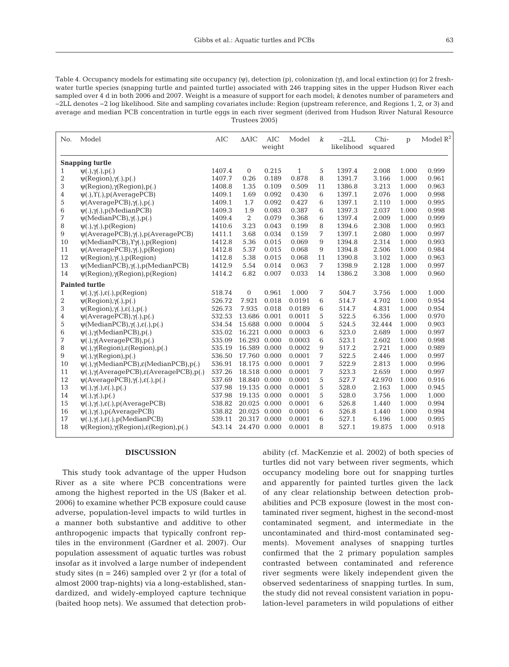Table 4. Occupancy models for estimating site occupancy (ψ), detection (p), colonization (γ), and local extinction (ε) for 2 freshwater turtle species (snapping turtle and painted turtle) associated with 246 trapping sites in the upper Hudson River each sampled over 4 d in both 2006 and 2007. Weight is a measure of support for each model; *k* denotes number of parameters and −2LL denotes −2 log likelihood. Site and sampling covariates include: Region (upstream reference, and Regions 1, 2, or 3) and average and median PCB concentration in turtle eggs in each river segment (derived from Hudson River Natural Resource Trustees 2005)

| No.              | Model                                                                          | <b>AIC</b> | $\triangle$ AIC | AIC<br>weight | Model        | $\boldsymbol{k}$ | $-2LL$<br>likelihood | Chi-<br>squared | $\mathbf{p}$ | Model $R^2$ |
|------------------|--------------------------------------------------------------------------------|------------|-----------------|---------------|--------------|------------------|----------------------|-----------------|--------------|-------------|
|                  | <b>Snapping turtle</b>                                                         |            |                 |               |              |                  |                      |                 |              |             |
| $\mathbf{1}$     | $\Psi(.)$ , $\gamma(.)$ , $p(.)$                                               | 1407.4     | $\mathbf{0}$    | 0.215         | $\mathbf{1}$ | 5                | 1397.4               | 2.008           | 1.000        | 0.999       |
| $\boldsymbol{2}$ | $\psi(\text{Region}), \gamma(.)$ , $p(.)$                                      | 1407.7     | 0.26            | 0.189         | 0.878        | 8                | 1391.7               | 3.166           | 1.000        | 0.961       |
| 3                | $\psi(\text{Region}), \gamma(\text{Region}), p(.)$                             | 1408.8     | 1.35            | 0.109         | 0.509        | 11               | 1386.8               | 3.213           | 1.000        | 0.963       |
| 4                | $\psi(.)$ , $\Upsilon(.)$ , $p(Average PCB)$                                   | 1409.1     | 1.69            | 0.092         | 0.430        | 6                | 1397.1               | 2.076           | 1.000        | 0.998       |
| 5                | $\psi$ (AveragePCB), $\gamma$ (.), $p$ (.)                                     | 1409.1     | 1.7             | 0.092         | 0.427        | 6                | 1397.1               | 2.110           | 1.000        | 0.995       |
| 6                | $\psi(.)$ , $\gamma(.)$ , $p$ (MedianPCB)                                      | 1409.3     | 1.9             | 0.083         | 0.387        | 6                | 1397.3               | 2.037           | 1.000        | 0.998       |
| 7                | $\psi$ (MedianPCB), $\gamma$ (.), $p(.)$                                       | 1409.4     | $\overline{2}$  | 0.079         | 0.368        | 6                | 1397.4               | 2.009           | 1.000        | 0.999       |
| 8                | $\psi(.)$ , $\gamma(.)$ , $p(Region)$                                          | 1410.6     | 3.23            | 0.043         | 0.199        | 8                | 1394.6               | 2.308           | 1.000        | 0.993       |
| $\overline{9}$   | $\psi$ (AveragePCB), $\gamma$ (.), $p$ (AveragePCB)                            | 1411.1     | 3.68            | 0.034         | 0.159        | 7                | 1397.1               | 2.080           | 1.000        | 0.997       |
| 10               | $\psi$ (MedianPCB), $\gamma$ (.), p(Region)                                    | 1412.8     | 5.36            | 0.015         | 0.069        | 9                | 1394.8               | 2.314           | 1.000        | 0.993       |
| 11               | $\psi$ (AveragePCB), $\gamma$ (.), $p$ (Region)                                | 1412.8     | 5.37            | 0.015         | 0.068        | 9                | 1394.8               | 2.506           | 1.000        | 0.984       |
| 12               | $\psi(\text{Region}), \gamma(.)$ , p(Region)                                   | 1412.8     | 5.38            | 0.015         | 0.068        | 11               | 1390.8               | 3.102           | 1.000        | 0.963       |
| 13               | $\psi$ (MedianPCB), $\gamma$ (.),p(MedianPCB)                                  | 1412.9     | 5.54            | 0.014         | 0.063        | 7                | 1398.9               | 2.128           | 1.000        | 0.997       |
| 14               | $\psi(\text{Region}), \gamma(\text{Region}), p(\text{Region})$                 | 1414.2     | 6.82            | 0.007         | 0.033        | 14               | 1386.2               | 3.308           | 1.000        | 0.960       |
|                  | <b>Painted turtle</b>                                                          |            |                 |               |              |                  |                      |                 |              |             |
| $\mathbf{1}$     | $\psi(.)$ , $\gamma(.)$ , $\varepsilon(.)$ , $p$ (Region)                      | 518.74     | $\mathbf{0}$    | 0.961         | 1.000        | 7                | 504.7                | 3.756           | 1.000        | 1.000       |
| $\overline{2}$   | $\psi(\text{Region}), \gamma(.)$ , $p(.)$                                      | 526.72     | 7.921           | 0.018         | 0.0191       | 6                | 514.7                | 4.702           | 1.000        | 0.954       |
| 3                | $\psi(\text{Region}), \gamma(.)$ , $\varepsilon(.)$ , $p(.)$                   | 526.73     | 7.935           | 0.018         | 0.0189       | 6                | 514.7                | 4.831           | 1.000        | 0.954       |
| 4                | $\psi$ (AveragePCB), $\gamma$ (.), $p(.)$                                      | 532.53     | 13.686          | 0.001         | 0.0011       | 5                | 522.5                | 6.356           | 1.000        | 0.970       |
| 5                | $\psi$ (MedianPCB), $\gamma(.)$ , $\varepsilon(.)$ , $p(.)$                    | 534.54     | 15.688          | 0.000         | 0.0004       | 5                | 524.5                | 32.444          | 1.000        | 0.903       |
| $\,6$            | $\psi(.)$ , $\gamma$ (MedianPCB), $p(.)$                                       | 535.02     | 16.221          | 0.000         | 0.0003       | 6                | 523.0                | 2.689           | 1.000        | 0.997       |
| 7                | $\Psi(.)$ , $\gamma$ (AveragePCB), $p(.)$                                      | 535.09     | 16.293 0.000    |               | 0.0003       | 6                | 523.1                | 2.602           | 1.000        | 0.998       |
| 8                | $\psi(.)$ , $\gamma$ (Region), $\varepsilon$ (Region), $p(.)$                  | 535.19     | 16.589          | 0.000         | 0.0002       | 9                | 517.2                | 2.721           | 1.000        | 0.989       |
| 9                | $\psi(.)$ , $\gamma$ (Region), $p(.)$                                          | 536.50     | 17.760          | 0.000         | 0.0001       | 7                | 522.5                | 2.446           | 1.000        | 0.997       |
| 10               | $\psi(.)$ , $\gamma$ (MedianPCB), $\varepsilon$ (MedianPCB), $p(.)$            | 536.91     | 18.175          | 0.000         | 0.0001       | 7                | 522.9                | 2.813           | 1.000        | 0.996       |
| 11               | $\psi(.)$ , $\gamma$ (AveragePCB), $\varepsilon$ (AveragePCB), $p(.)$          | 537.26     | 18.518          | 0.000         | 0.0001       | 7                | 523.3                | 2.659           | 1.000        | 0.997       |
| 12               | $\psi$ (AveragePCB), $\gamma$ (.), $\varepsilon$ (.), $p$ (.)                  | 537.69     | 18.840          | 0.000         | 0.0001       | 5                | 527.7                | 42.970          | 1.000        | 0.916       |
| 13               | $\psi(.)$ , $\gamma(.)$ , $\varepsilon(.)$ , $p(.)$                            | 537.98     | 19.135          | 0.000         | 0.0001       | 5                | 528.0                | 2.163           | 1.000        | 0.945       |
| 14               | $\psi(.)$ , $\gamma(.)$ , $p(.)$                                               | 537.98     | 19.135          | 0.000         | 0.0001       | 5                | 528.0                | 3.756           | 1.000        | 1.000       |
| 15               | $\psi(.)$ , $\gamma(.)$ , $\varepsilon(.)$ , $p(Average PCB)$                  | 538.82     | 20.025          | 0.000         | 0.0001       | 6                | 526.8                | 1.440           | 1.000        | 0.994       |
| 16               | $\Psi(.)$ , $\gamma(.)$ , $p(Average PCB)$                                     | 538.82     | 20.025          | 0.000         | 0.0001       | 6                | 526.8                | 1.440           | 1.000        | 0.994       |
| 17               | $\psi(.)$ , $\gamma(.)$ , $\varepsilon(.)$ , $p$ (MedianPCB)                   | 539.11     | 20.317          | 0.000         | 0.0001       | 6                | 527.1                | 6.196           | 1.000        | 0.995       |
| 18               | $\psi(\text{Region}), \gamma(\text{Region}), \varepsilon(\text{Region}), p(.)$ | 543.14     | 24.470 0.000    |               | 0.0001       | 8                | 527.1                | 19.875          | 1.000        | 0.918       |
|                  |                                                                                |            |                 |               |              |                  |                      |                 |              |             |

# **DISCUSSION**

This study took advantage of the upper Hudson River as a site where PCB concentrations were among the highest reported in the US (Baker et al. 2006) to examine whether PCB exposure could cause adverse, population-level impacts to wild turtles in a manner both substantive and additive to other anthropogenic impacts that typically confront reptiles in the environment (Gardner et al. 2007). Our population assessment of aquatic turtles was robust insofar as it involved a large number of independent study sites  $(n = 246)$  sampled over 2 yr (for a total of almost 2000 trap-nights) via a long-established, standardized, and widely-employed capture technique (baited hoop nets). We assumed that detection probability (cf. MacKenzie et al. 2002) of both species of turtles did not vary between river segments, which occupancy modeling bore out for snapping turtles and apparently for painted turtles given the lack of any clear relationship between detection probabilities and PCB exposure (lowest in the most contaminated river segment, highest in the second-most contaminated segment, and intermediate in the uncontaminated and third-most contaminated segments). Movement analyses of snapping turtles confirmed that the 2 primary population samples contrasted between contaminated and reference river segments were likely independent given the observed sedentariness of snapping turtles. In sum, the study did not reveal consistent variation in population-level parameters in wild populations of either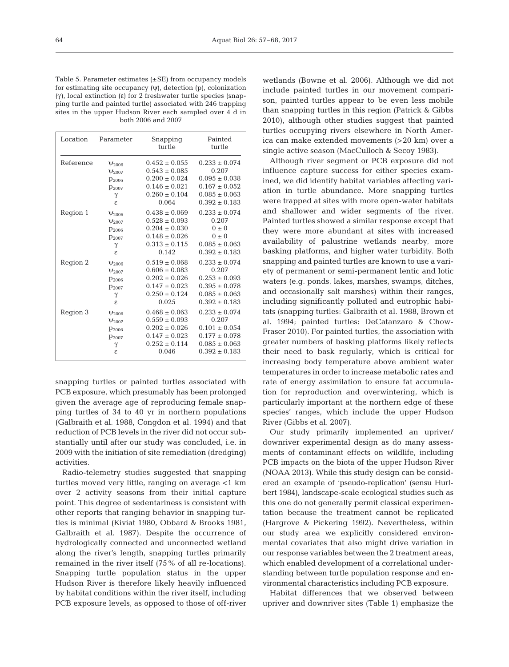Table 5. Parameter estimates (±SE) from occupancy models for estimating site occupancy (ψ), detection (p), colonization (γ), local extinction (ε) for 2 freshwater turtle species (snapping turtle and painted turtle) associated with 246 trapping sites in the upper Hudson River each sampled over 4 d in both 2006 and 2007

| Location  | Parameter              | Snapping<br>turtle | Painted<br>turtle |
|-----------|------------------------|--------------------|-------------------|
| Reference | $\Psi$ <sub>2006</sub> | $0.452 \pm 0.055$  | $0.233 \pm 0.074$ |
|           | $\Psi$ <sub>2007</sub> | $0.543 \pm 0.085$  | 0.207             |
|           | $p_{2006}$             | $0.200 \pm 0.024$  | $0.095 \pm 0.038$ |
|           | $p_{2007}$             | $0.146 \pm 0.021$  | $0.167 \pm 0.052$ |
|           | γ                      | $0.260 \pm 0.104$  | $0.085 \pm 0.063$ |
|           | ε                      | 0.064              | $0.392 \pm 0.183$ |
| Region 1  | $\Psi_{2006}$          | $0.438 \pm 0.069$  | $0.233 \pm 0.074$ |
|           | $\Psi$ <sub>2007</sub> | $0.528 \pm 0.093$  | 0.207             |
|           | $p_{2006}$             | $0.204 \pm 0.030$  | $0 \pm 0$         |
|           | $p_{2007}$             | $0.148 \pm 0.026$  | $0 \pm 0$         |
|           | γ                      | $0.313 \pm 0.115$  | $0.085 \pm 0.063$ |
|           | Ė.                     | 0.142              | $0.392 \pm 0.183$ |
| Region 2  | $\Psi_{2006}$          | $0.519 \pm 0.068$  | $0.233 \pm 0.074$ |
|           | $\Psi$ <sub>2007</sub> | $0.606 \pm 0.083$  | 0.207             |
|           | $p_{2006}$             | $0.202 \pm 0.026$  | $0.253 \pm 0.093$ |
|           | $p_{2007}$             | $0.147 \pm 0.023$  | $0.395 \pm 0.078$ |
|           | γ                      | $0.250 \pm 0.124$  | $0.085 \pm 0.063$ |
|           | Ė.                     | 0.025              | $0.392 \pm 0.183$ |
| Region 3  | $\Psi_{2006}$          | $0.468 \pm 0.063$  | $0.233 \pm 0.074$ |
|           | $\Psi$ <sub>2007</sub> | $0.559 \pm 0.093$  | 0.207             |
|           | $p_{2006}$             | $0.202 \pm 0.026$  | $0.101 \pm 0.054$ |
|           | $p_{2007}$             | $0.147 \pm 0.023$  | $0.177 \pm 0.078$ |
|           | γ                      | $0.252 \pm 0.114$  | $0.085 \pm 0.063$ |
|           | ε                      | 0.046              | $0.392 \pm 0.183$ |

snapping turtles or painted turtles associated with PCB exposure, which presumably has been prolonged given the average age of reproducing female snapping turtles of 34 to 40 yr in northern populations (Galbraith et al. 1988, Congdon et al. 1994) and that reduction of PCB levels in the river did not occur substantially until after our study was concluded, i.e. in 2009 with the initiation of site remediation (dredging) activities.

Radio-telemetry studies suggested that snapping turtles moved very little, ranging on average <1 km over 2 activity seasons from their initial capture point. This degree of sedentariness is consistent with other reports that ranging behavior in snapping turtles is minimal (Kiviat 1980, Obbard & Brooks 1981, Galbraith et al. 1987). Despite the occurrence of hydrologically connected and unconnected wetland along the river's length, snapping turtles primarily remained in the river itself (75% of all re-locations). Snapping turtle population status in the upper Hudson River is therefore likely heavily influenced by habitat conditions within the river itself, including PCB exposure levels, as opposed to those of off-river

wetlands (Bowne et al. 2006). Although we did not include painted turtles in our movement comparison, painted turtles appear to be even less mobile than snapping turtles in this region (Patrick & Gibbs 2010), although other studies suggest that painted turtles occupying rivers elsewhere in North America can make extended movements (>20 km) over a single active season (MacCulloch & Secoy 1983).

Although river segment or PCB exposure did not influence capture success for either species examined, we did identify habitat variables affecting variation in turtle abundance. More snapping turtles were trapped at sites with more open-water habitats and shallower and wider segments of the river. Painted turtles showed a similar response except that they were more abundant at sites with increased availability of palustrine wetlands nearby, more basking platforms, and higher water turbidity. Both snapping and painted turtles are known to use a variety of permanent or semi-permanent lentic and lotic waters (e.g. ponds, lakes, marshes, swamps, ditches, and oc casionally salt marshes) within their ranges, including significantly polluted and eutrophic habitats (snapping turtles: Galbraith et al. 1988, Brown et al. 1994; painted turtles: DeCatanzaro & Chow-Fraser 2010). For painted turtles, the association with greater numbers of basking platforms likely reflects their need to bask regularly, which is critical for increasing body temperature above ambient water temperatures in order to increase meta bolic rates and rate of energy assimilation to ensure fat accumulation for reproduction and overwintering, which is particularly important at the northern edge of these species' ranges, which include the upper Hudson River (Gibbs et al. 2007).

Our study primarily implemented an upriver/ downriver experimental design as do many assessments of contaminant effects on wildlife, including PCB impacts on the biota of the upper Hudson River (NOAA 2013). While this study design can be considered an example of 'pseudo-replication' (sensu Hurlbert 1984), landscape-scale ecological studies such as this one do not generally permit classical experimentation because the treatment cannot be replicated (Hargrove & Pickering 1992). Nevertheless, within our study area we explicitly considered environmental covariates that also might drive variation in our response variables between the 2 treatment areas, which enabled development of a correlational understanding between turtle population response and environmental characteristics including PCB exposure.

Habitat differences that we observed between upriver and downriver sites (Table 1) emphasize the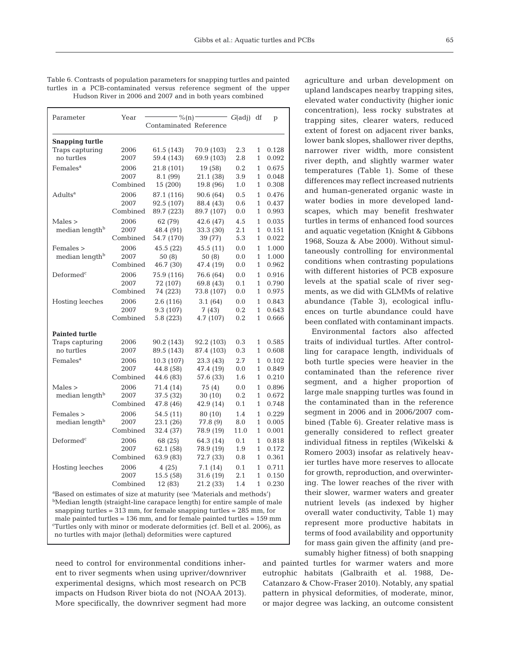|                                                          |  |  | Table 6. Contrasts of population parameters for snapping turtles and painted |  |  |  |  |  |
|----------------------------------------------------------|--|--|------------------------------------------------------------------------------|--|--|--|--|--|
|                                                          |  |  | turtles in a PCB-contaminated versus reference segment of the upper          |  |  |  |  |  |
| Hudson River in 2006 and 2007 and in both years combined |  |  |                                                                              |  |  |  |  |  |

| Parameter                                                                                                                                                                                                                                                                                                                                                                                                         | Year                     | $-$ % (n) –<br>Contaminated Reference | - G(adj) df                       |                    | p                                            |                         |  |  |
|-------------------------------------------------------------------------------------------------------------------------------------------------------------------------------------------------------------------------------------------------------------------------------------------------------------------------------------------------------------------------------------------------------------------|--------------------------|---------------------------------------|-----------------------------------|--------------------|----------------------------------------------|-------------------------|--|--|
| <b>Snapping turtle</b><br>Traps capturing<br>no turtles                                                                                                                                                                                                                                                                                                                                                           | 2006<br>2007             | 61.5 (143)<br>59.4 (143)              | 70.9 (103)<br>69.9 (103)          | 2.3<br>2.8         | 1<br>$\mathbf{1}$                            | 0.128<br>0.092          |  |  |
| Females <sup>a</sup>                                                                                                                                                                                                                                                                                                                                                                                              | 2006                     | 21.8 (101)                            | 19 (58)                           | 0.2                | $\mathbf{1}$                                 | 0.675                   |  |  |
|                                                                                                                                                                                                                                                                                                                                                                                                                   | 2007                     | 8.1 (99)                              | 21.1 (38)                         | 3.9                | $\mathbf{1}$                                 | 0.048                   |  |  |
|                                                                                                                                                                                                                                                                                                                                                                                                                   | Combined                 | 15 (200)                              | 19.8 (96)                         | 1.0                | 1                                            | 0.308                   |  |  |
| Adults <sup>a</sup>                                                                                                                                                                                                                                                                                                                                                                                               | 2006                     | 87.1 (116)                            | 90.6 (64)                         | 0.5                | $\mathbf{1}$                                 | 0.476                   |  |  |
|                                                                                                                                                                                                                                                                                                                                                                                                                   | 2007                     | 92.5 (107)                            | 88.4 (43)                         | 0.6                | 1                                            | 0.437                   |  |  |
|                                                                                                                                                                                                                                                                                                                                                                                                                   | Combined                 | 89.7 (223)                            | 89.7 (107)                        | 0.0                | 1                                            | 0.993                   |  |  |
| Males<br>median length <sup>b</sup>                                                                                                                                                                                                                                                                                                                                                                               | 2006<br>2007<br>Combined | 62 (79)<br>48.4 (91)<br>54.7 (170)    | 42.6 (47)<br>33.3 (30)<br>39 (77) | 4.5<br>2.1<br>5.3  | 1<br>1<br>1                                  | 0.035<br>0.151<br>0.022 |  |  |
| Females ><br>median length <sup>b</sup>                                                                                                                                                                                                                                                                                                                                                                           | 2006<br>2007<br>Combined | 45.5 (22)<br>50(8)<br>46.7 (30)       | 45.5(11)<br>50 (8)<br>47.4 (19)   | 0.0<br>0.0<br>0.0  | $\mathbf{1}$<br>$\mathbf{1}$<br>$\mathbf{1}$ | 1.000<br>1.000<br>0.962 |  |  |
| Deformed <sup>c</sup>                                                                                                                                                                                                                                                                                                                                                                                             | 2006                     | 75.9 (116)                            | 76.6 (64)                         | 0.0                | $\mathbf{1}$                                 | 0.916                   |  |  |
|                                                                                                                                                                                                                                                                                                                                                                                                                   | 2007                     | 72 (107)                              | 69.8 (43)                         | 0.1                | $\mathbf{1}$                                 | 0.790                   |  |  |
|                                                                                                                                                                                                                                                                                                                                                                                                                   | Combined                 | 74 (223)                              | 73.8 (107)                        | 0.0                | $\mathbf{1}$                                 | 0.975                   |  |  |
| Hosting leeches                                                                                                                                                                                                                                                                                                                                                                                                   | 2006                     | 2.6(116)                              | 3.1(64)                           | 0.0                | $\mathbf{1}$                                 | 0.843                   |  |  |
|                                                                                                                                                                                                                                                                                                                                                                                                                   | 2007                     | 9.3 (107)                             | 7 (43)                            | 0.2                | $\mathbf{1}$                                 | 0.643                   |  |  |
|                                                                                                                                                                                                                                                                                                                                                                                                                   | Combined                 | 5.8 (223)                             | 4.7 (107)                         | 0.2                | $\mathbf{1}$                                 | 0.666                   |  |  |
| <b>Painted turtle</b>                                                                                                                                                                                                                                                                                                                                                                                             |                          |                                       |                                   |                    |                                              |                         |  |  |
| Traps capturing                                                                                                                                                                                                                                                                                                                                                                                                   | 2006                     | 90.2 (143)                            | 92.2 (103)                        | 0.3                | 1                                            | 0.585                   |  |  |
| no turtles                                                                                                                                                                                                                                                                                                                                                                                                        | 2007                     | 89.5 (143)                            | 87.4 (103)                        | 0.3                | $\mathbf{1}$                                 | 0.608                   |  |  |
| Females <sup>a</sup>                                                                                                                                                                                                                                                                                                                                                                                              | 2006                     | 10.3 (107)                            | 23.3 (43)                         | 2.7                | $\mathbf{1}$                                 | 0.102                   |  |  |
|                                                                                                                                                                                                                                                                                                                                                                                                                   | 2007                     | 44.8 (58)                             | 47.4 (19)                         | 0.0                | 1                                            | 0.849                   |  |  |
|                                                                                                                                                                                                                                                                                                                                                                                                                   | Combined                 | 44.6 (83)                             | 57.6 (33)                         | 1.6                | $\mathbf{1}$                                 | 0.210                   |  |  |
| Males<br>median length <sup>b</sup>                                                                                                                                                                                                                                                                                                                                                                               | 2006<br>2007<br>Combined | 71.4 (14)<br>37.5 (32)<br>47.8 (46)   | 75 (4)<br>30 (10)<br>42.9 (14)    | 0.0<br>0.2<br>0.1  | $\mathbf{1}$<br>$\mathbf{1}$<br>$\mathbf{1}$ | 0.896<br>0.672<br>0.748 |  |  |
| Females ><br>median length <sup>b</sup>                                                                                                                                                                                                                                                                                                                                                                           | 2006<br>2007<br>Combined | 54.5 (11)<br>23.1 (26)<br>32.4 (37)   | 80 (10)<br>77.8 (9)<br>78.9 (19)  | 1.4<br>8.0<br>11.0 | $\mathbf{1}$<br>$\mathbf{1}$<br>$\mathbf{1}$ | 0.229<br>0.005<br>0.001 |  |  |
| Deformed <sup>c</sup>                                                                                                                                                                                                                                                                                                                                                                                             | 2006                     | 68 (25)                               | 64.3 (14)                         | 0.1                | $\mathbf{1}$                                 | 0.818                   |  |  |
|                                                                                                                                                                                                                                                                                                                                                                                                                   | 2007                     | 62.1 (58)                             | 78.9 (19)                         | 1.9                | $\mathbf{1}$                                 | 0.172                   |  |  |
|                                                                                                                                                                                                                                                                                                                                                                                                                   | Combined                 | 63.9 (83)                             | 72.7 (33)                         | $_{0.8}$           | $\mathbf{1}$                                 | 0.361                   |  |  |
| Hosting leeches                                                                                                                                                                                                                                                                                                                                                                                                   | 2006                     | 4(25)                                 | 7.1 (14)                          | 0.1                | $\mathbf{1}$                                 | 0.711                   |  |  |
|                                                                                                                                                                                                                                                                                                                                                                                                                   | 2007                     | 15.5 (58)                             | 31.6 (19)                         | 2.1                | $\mathbf{1}$                                 | 0.150                   |  |  |
|                                                                                                                                                                                                                                                                                                                                                                                                                   | Combined                 | 12 (83)                               | 21.2 (33)                         | 1.4                | $\mathbf{1}$                                 | 0.230                   |  |  |
| <sup>a</sup> Based on estimates of size at maturity (see 'Materials and methods')<br><sup>b</sup> Median length (straight-line carapace length) for entire sample of male<br>snapping turtles = $313$ mm, for female snapping turtles = $285$ mm, for<br>male painted turtles $= 136$ mm, and for female painted turtles $= 159$ mm<br>Turtles only with minor or moderate deformities (cf. Bell et al. 2006), as |                          |                                       |                                   |                    |                                              |                         |  |  |

need to control for environmental conditions inherent to river segments when using upriver/downriver experimental designs, which most research on PCB impacts on Hudson River biota do not (NOAA 2013). More specifically, the downriver segment had more

no turtles with major (lethal) deformities were captured

agriculture and urban development on upland landscapes nearby trapping sites, elevated water conductivity (higher ionic concentration), less rocky substrates at trapping sites, clearer waters, reduced extent of forest on adjacent river banks, lower bank slopes, shallower river depths, narrower river width, more consistent river depth, and slightly warmer water temperatures (Table 1). Some of these differences may reflect increased nutrients and human-generated organic waste in water bodies in more developed landscapes, which may benefit freshwater turtles in terms of enhanced food sources and aquatic vegetation (Knight & Gibbons 1968, Souza & Abe 2000). Without simultaneously controlling for environmental conditions when contrasting populations with different histories of PCB exposure levels at the spatial scale of river segments, as we did with GLMMs of relative abundance (Table 3), ecological influences on turtle abundance could have been conflated with contaminant impacts.

Environmental factors also affected traits of individual turtles. After controlling for carapace length, individuals of both turtle species were heavier in the contaminated than the reference river segment, and a higher proportion of large male snapping turtles was found in the contaminated than in the reference segment in 2006 and in 2006/2007 combined (Table 6). Greater relative mass is generally considered to reflect greater individual fitness in reptiles (Wikelski & Romero 2003) insofar as relatively heavier turtles have more reserves to allocate for growth, reproduction, and overwintering. The lower reaches of the river with their slower, warmer waters and greater nutrient levels (as indexed by higher overall water conductivity, Table 1) may represent more productive habitats in terms of food availability and opportunity for mass gain given the affinity (and presumably higher fitness) of both snapping

and painted turtles for warmer waters and more eutrophic habitats (Galbraith et al. 1988, De-Catanzaro & Chow-Fraser 2010). Notably, any spatial pattern in physical deformities, of moderate, minor, or major degree was lacking, an outcome consistent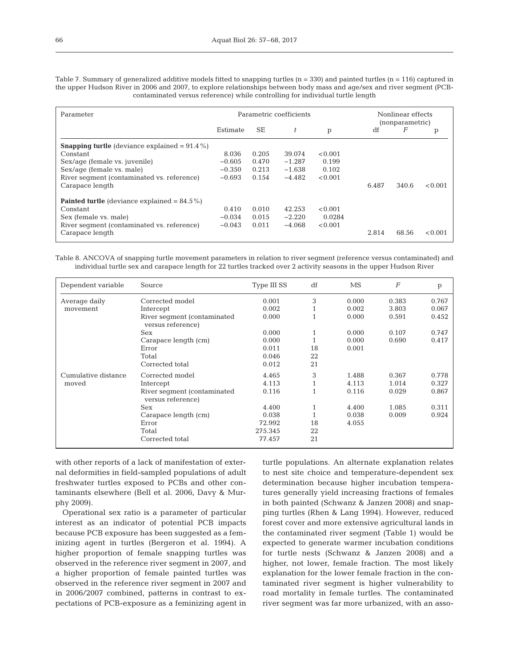| Parameter                                               |          |           | Parametric coefficients |         | Nonlinear effects<br>(nonparametric) |       |         |  |
|---------------------------------------------------------|----------|-----------|-------------------------|---------|--------------------------------------|-------|---------|--|
|                                                         | Estimate | <b>SE</b> | t                       | p       | df                                   | F     | p       |  |
| <b>Snapping turtle</b> (deviance explained $= 91.4\%$ ) |          |           |                         |         |                                      |       |         |  |
| Constant                                                | 8.036    | 0.205     | 39.074                  | < 0.001 |                                      |       |         |  |
| Sex/age (female vs. juvenile)                           | $-0.605$ | 0.470     | $-1.287$                | 0.199   |                                      |       |         |  |
| Sex/age (female vs. male)                               | $-0.350$ | 0.213     | $-1.638$                | 0.102   |                                      |       |         |  |
| River segment (contaminated vs. reference)              | $-0.693$ | 0.154     | $-4.482$                | < 0.001 |                                      |       |         |  |
| Carapace length                                         |          |           |                         |         | 6.487                                | 340.6 | < 0.001 |  |
| <b>Painted turtle</b> (deviance explained = $84.5\%$ )  |          |           |                         |         |                                      |       |         |  |
| Constant                                                | 0.410    | 0.010     | 42.253                  | < 0.001 |                                      |       |         |  |
| Sex (female vs. male)                                   | $-0.034$ | 0.015     | $-2.220$                | 0.0284  |                                      |       |         |  |
| River segment (contaminated vs. reference)              | $-0.043$ | 0.011     | $-4.068$                | < 0.001 |                                      |       |         |  |
| Carapace length                                         |          |           |                         |         | 2.814                                | 68.56 | < 0.001 |  |

Table 7. Summary of generalized additive models fitted to snapping turtles  $(n = 330)$  and painted turtles  $(n = 116)$  captured in the upper Hudson River in 2006 and 2007, to explore relationships between body mass and age/sex and river segment (PCBcontaminated versus reference) while controlling for individual turtle length

Table 8. ANCOVA of snapping turtle movement parameters in relation to river segment (reference versus contaminated) and individual turtle sex and carapace length for 22 turtles tracked over 2 activity seasons in the upper Hudson River

| Dependent variable  | Source                                           | Type III SS | df | MS    | $\overline{F}$ | p     |
|---------------------|--------------------------------------------------|-------------|----|-------|----------------|-------|
| Average daily       | Corrected model                                  | 0.001       | 3  | 0.000 | 0.383          | 0.767 |
| movement            | Intercept                                        | 0.002       |    | 0.002 | 3.803          | 0.067 |
|                     | River segment (contaminated<br>versus reference) | 0.000       |    | 0.000 | 0.591          | 0.452 |
|                     | Sex                                              | 0.000       | 1  | 0.000 | 0.107          | 0.747 |
|                     | Carapace length (cm)                             | 0.000       |    | 0.000 | 0.690          | 0.417 |
|                     | Error                                            | 0.011       | 18 | 0.001 |                |       |
|                     | Total                                            | 0.046       | 22 |       |                |       |
|                     | Corrected total                                  | 0.012       | 21 |       |                |       |
| Cumulative distance | Corrected model                                  | 4.465       | 3  | 1.488 | 0.367          | 0.778 |
| moved               | Intercept                                        | 4.113       | 1  | 4.113 | 1.014          | 0.327 |
|                     | River segment (contaminated<br>versus reference) | 0.116       | 1  | 0.116 | 0.029          | 0.867 |
|                     | Sex                                              | 4.400       | 1  | 4.400 | 1.085          | 0.311 |
|                     | Carapace length (cm)                             | 0.038       | 1  | 0.038 | 0.009          | 0.924 |
|                     | Error                                            | 72.992      | 18 | 4.055 |                |       |
|                     | Total                                            | 275.345     | 22 |       |                |       |
|                     | Corrected total                                  | 77.457      | 21 |       |                |       |

with other reports of a lack of manifestation of external deformities in field-sampled populations of adult freshwater turtles exposed to PCBs and other contaminants elsewhere (Bell et al. 2006, Davy & Murphy 2009).

Operational sex ratio is a parameter of particular interest as an indicator of potential PCB impacts because PCB exposure has been suggested as a feminizing agent in turtles (Bergeron et al. 1994). A higher proportion of female snapping turtles was observed in the reference river segment in 2007, and a higher proportion of female painted turtles was observed in the reference river segment in 2007 and in 2006/2007 combined, patterns in contrast to expectations of PCB-exposure as a feminizing agent in turtle populations. An alternate explanation relates to nest site choice and temperature-dependent sex determination because higher incubation temperatures generally yield increasing fractions of females in both painted (Schwanz & Janzen 2008) and snapping turtles (Rhen & Lang 1994). However, reduced forest cover and more extensive agricultural lands in the contaminated river segment (Table 1) would be expected to generate warmer incubation conditions for turtle nests (Schwanz & Janzen 2008) and a higher, not lower, female fraction. The most likely explanation for the lower female fraction in the contaminated river segment is higher vulnerability to road mortality in female turtles. The contaminated river segment was far more urbanized, with an asso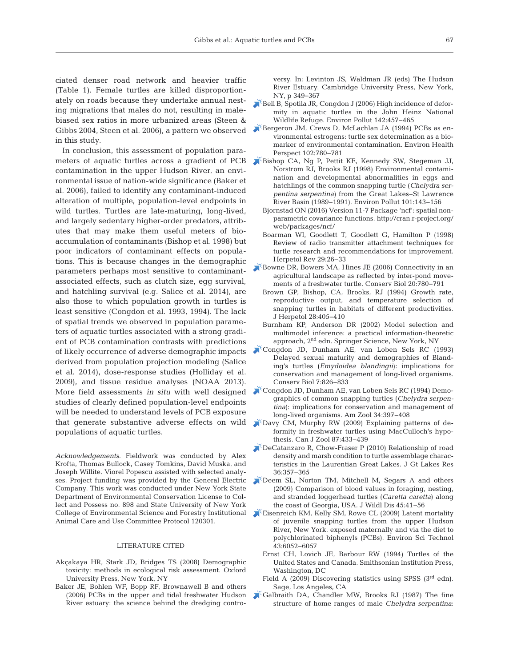ciated denser road network and heavier traffic (Table 1). Female turtles are killed disproportionately on roads because they undertake annual nesting migrations that males do not, resulting in malebiased sex ratios in more urbanized areas (Steen & Gibbs 2004, Steen et al. 2006), a pattern we observed in this study.

In conclusion, this assessment of population parameters of aquatic turtles across a gradient of PCB contamination in the upper Hudson River, an environmental issue of nation-wide significance (Baker et al. 2006), failed to identify any contaminant-induced alteration of multiple, population-level endpoints in wild turtles. Turtles are late-maturing, long-lived, and largely sedentary higher-order predators, attributes that may make them useful meters of bioaccumulation of contaminants (Bishop et al. 1998) but poor indicators of contaminant effects on populations. This is because changes in the demographic parameters perhaps most sensitive to contaminantassociated effects, such as clutch size, egg survival, and hatchling survival (e.g. Salice et al. 2014), are also those to which population growth in turtles is least sensitive (Congdon et al. 1993, 1994). The lack of spatial trends we observed in population parameters of aquatic turtles associated with a strong gradient of PCB contamination contrasts with predictions of likely occurrence of adverse demographic impacts derived from population projection modeling (Salice et al. 2014), dose-response studies (Holliday et al. 2009), and tissue residue analyses (NOAA 2013). More field assessments *in situ* with well designed studies of clearly defined population-level endpoints will be needed to understand levels of PCB exposure that generate substantive adverse effects on wild populations of aquatic turtles.

*Acknowledgements*. Fieldwork was conducted by Alex Krofta, Thomas Bullock, Casey Tomkins, David Muska, and Joseph Willite. Viorel Popescu assisted with selected analyses. Project funding was provided by the General Electric Company. This work was conducted under New York State Department of Environmental Conservation License to Collect and Possess no. 898 and State University of New York College of Environmental Science and Forestry Institutional Animal Care and Use Committee Protocol 120301.

#### LITERATURE CITED

- Akçakaya HR, Stark JD, Bridges TS (2008) Demographic toxicity: methods in ecological risk assessment. Oxford University Press, New York, NY
- Baker JE, Bohlen WF, Bopp RF, Brownawell B and others (2006) PCBs in the upper and tidal freshwater Hudson River estuary: the science behind the dredging contro-

versy. In:Levinton JS, Waldman JR (eds) The Hudson River Estuary. Cambridge University Press, New York, NY, p 349−367

- [Bell B, Spotila JR, Congdon J \(2006\) High incidence of defor](https://www.ncbi.nlm.nih.gov/entrez/query.fcgi?cmd=Retrieve&db=PubMed&list_uids=16360253&dopt=Abstract)mity in aquatic turtles in the John Heinz National Wildlife Refuge. Environ Pollut 142:457-465
- [Bergeron JM, Crews D, McLachlan JA \(1994\) PCBs as en](https://www.ncbi.nlm.nih.gov/entrez/query.fcgi?cmd=Retrieve&db=PubMed&list_uids=9657710&dopt=Abstract)  vironmental estrogens: turtle sex determination as a biomarker of environmental contamination. Environ Health Perspect 102: 780−781
- [Bishop CA, Ng P, Pettit KE, Kennedy SW, Stegeman JJ,](https://www.ncbi.nlm.nih.gov/entrez/query.fcgi?cmd=Retrieve&db=PubMed&list_uids=15093107&dopt=Abstract) Norstrom RJ, Brooks RJ (1998) Environmental contamination and developmental abnormalities in eggs and hatchlings of the common snapping turtle (*Chelydra serpentina serpentina*) from the Great Lakes−St Lawrence River Basin (1989−1991). Environ Pollut 101: 143−156
	- Bjornstad ON (2016) Version 11-7 Package 'ncf': spatial nonparametric covariance functions. http://cran.r-project.org/ web/packages/ncf/
	- Boarman WI, Goodlett T, Goodlett G, Hamilton P (1998) Review of radio transmitter attachment techniques for turtle research and recommendations for improvement. Herpetol Rev 29:26-33
- [Bowne DR, Bowers MA, Hines JE \(2006\) Connectivity in an](https://www.ncbi.nlm.nih.gov/entrez/query.fcgi?cmd=Retrieve&db=PubMed&list_uids=16909571&dopt=Abstract) agricultural landscape as reflected by inter-pond movements of a freshwater turtle. Conserv Biol 20:780-791
	- Brown GP, Bishop, CA, Brooks, RJ (1994) Growth rate, reproductive output, and temperature selection of snapping turtles in habitats of different productivities. J Herpetol 28: 405−410
	- Burnham KP, Anderson DR (2002) Model selection and multimodel inference: a practical information-theoretic approach, 2nd edn. Springer Science, New York, NY
- [Congdon JD, Dunham AE, van Loben Sels RC \(1993\)](https://doi.org/10.1046/j.1523-1739.1993.740826.x) Delayed sexual maturity and demographies of Blanding's turtles (*Emydoidea blandingii*): implications for conservation and management of long-lived organisms. Conserv Biol 7: 826−833
- [Congdon JD, Dunham AE, van Loben Sels RC \(1994\) Demo](https://doi.org/10.1093/icb/34.3.397)graphics of common snapping turtles (*Chelydra serpen*  tina): implications for conservation and management of long-lived organisms. Am Zool 34:397-408
- [Davy CM, Murphy RW \(2009\) Explaining patterns of de](https://doi.org/10.1139/Z09-028)  formity in freshwater turtles using MacCulloch's hypothesis. Can J Zool 87:433-439
- [DeCatanzaro R, Chow-Fraser P \(2010\) Relationship of road](https://doi.org/10.1016/j.jglr.2010.02.003) density and marsh condition to turtle assemblage characteristics in the Laurentian Great Lakes. J Gt Lakes Res 36: 357−365
- [Deem SL, Norton TM, Mitchell M, Segars A and others](https://www.ncbi.nlm.nih.gov/entrez/query.fcgi?cmd=Retrieve&db=PubMed&list_uids=19204334&dopt=Abstract) (2009) Comparison of blood values in foraging, nesting, and stranded loggerhead turtles (*Caretta caretta*) along the coast of Georgia, USA. J Wildl Dis 45:41-56
- [Eisenreich KM, Kelly SM, Rowe CL \(2009\) Latent mortality](https://www.ncbi.nlm.nih.gov/entrez/query.fcgi?cmd=Retrieve&db=PubMed&list_uids=19731717&dopt=Abstract) of juvenile snapping turtles from the upper Hudson River, New York, exposed maternally and via the diet to polychlorinated biphenyls (PCBs). Environ Sci Technol 43: 6052−6057
	- Ernst CH, Lovich JE, Barbour RW (1994) Turtles of the United States and Canada. Smithsonian Institution Press, Washington, DC
	- Field A (2009) Discovering statistics using SPSS (3<sup>rd</sup> edn). Sage, Los Angeles, CA
- [Galbraith DA, Chandler MW, Brooks RJ \(1987\) The fine](https://doi.org/10.1139/z87-398) structure of home ranges of male *Chelydra serpentina*: